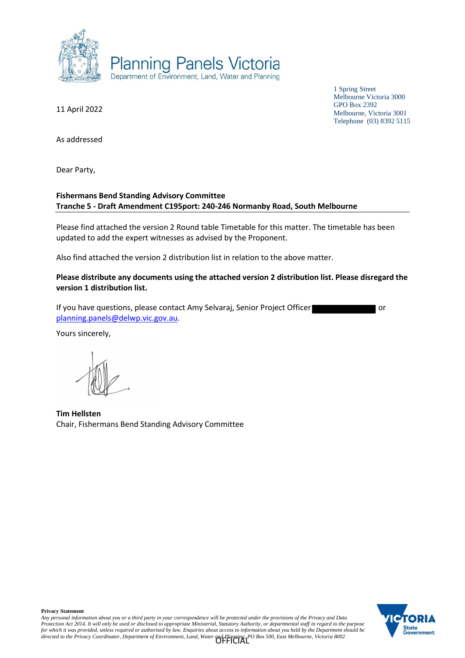

11 April 2022

1 Spring Street Melbourne Victoria 3000 GPO Box 2392 Melbourne, Victoria 3001 Telephone (03) 8392 5115

As addressed

Dear Party,

## **Fishermans Bend Standing Advisory Committee Tranche 5 - Draft Amendment C195port: 240-246 Normanby Road, South Melbourne**

Please find attached the version 2 Round table Timetable for this matter. The timetable has been updated to add the expert witnesses as advised by the Proponent.

Also find attached the version 2 distribution list in relation to the above matter.

**Please distribute any documents using the attached version 2 distribution list. Please disregard the version 1 distribution list.**

If you have questions, please contact Amy Selvaraj, Senior Project Officer **or all as a senior of the senior** or [planning.panels@delwp.vic.gov.au.](mailto:planning.panels@delwp.vic.gov.au)

Yours sincerely,

**Tim Hellsten** Chair, Fishermans Bend Standing Advisory Committee

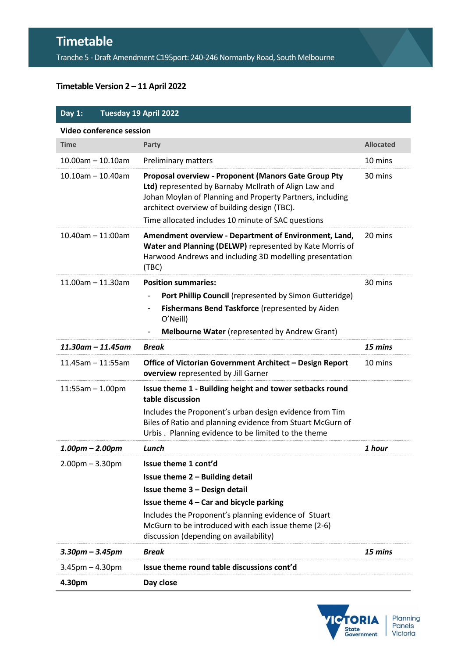## **Timetable**

Tranche 5 - Draft Amendment C195port: 240-246 Normanby Road, South Melbourne

## **Timetable Version 2 – 11 April 2022**

| Day 1:                   |                      | Tuesday 19 April 2022                                                                                                                                                                                                                                                            |                  |  |
|--------------------------|----------------------|----------------------------------------------------------------------------------------------------------------------------------------------------------------------------------------------------------------------------------------------------------------------------------|------------------|--|
| Video conference session |                      |                                                                                                                                                                                                                                                                                  |                  |  |
| <b>Time</b>              |                      | Party                                                                                                                                                                                                                                                                            | <b>Allocated</b> |  |
| $10.00$ am $- 10.10$ am  |                      | <b>Preliminary matters</b>                                                                                                                                                                                                                                                       | 10 mins          |  |
| $10.10$ am $- 10.40$ am  |                      | Proposal overview - Proponent (Manors Gate Group Pty<br>Ltd) represented by Barnaby McIlrath of Align Law and<br>Johan Moylan of Planning and Property Partners, including<br>architect overview of building design (TBC).<br>Time allocated includes 10 minute of SAC questions | 30 mins          |  |
| $10.40$ am $- 11:00$ am  |                      | Amendment overview - Department of Environment, Land,<br>Water and Planning (DELWP) represented by Kate Morris of<br>Harwood Andrews and including 3D modelling presentation<br>(TBC)                                                                                            | 20 mins          |  |
| $11.00$ am $-11.30$ am   |                      | <b>Position summaries:</b>                                                                                                                                                                                                                                                       | 30 mins          |  |
|                          |                      | Port Phillip Council (represented by Simon Gutteridge)<br>$\overline{a}$                                                                                                                                                                                                         |                  |  |
|                          |                      | Fishermans Bend Taskforce (represented by Aiden<br>$\qquad \qquad \blacksquare$<br>O'Neill)                                                                                                                                                                                      |                  |  |
|                          |                      | <b>Melbourne Water</b> (represented by Andrew Grant)                                                                                                                                                                                                                             |                  |  |
|                          | $11.30$ am - 11.45am | <b>Break</b>                                                                                                                                                                                                                                                                     | 15 mins          |  |
| $11.45$ am - $11:55$ am  |                      | Office of Victorian Government Architect - Design Report<br>overview represented by Jill Garner                                                                                                                                                                                  | 10 mins          |  |
| $11:55am - 1.00pm$       |                      | Issue theme 1 - Building height and tower setbacks round<br>table discussion                                                                                                                                                                                                     |                  |  |
|                          |                      | Includes the Proponent's urban design evidence from Tim<br>Biles of Ratio and planning evidence from Stuart McGurn of<br>Urbis. Planning evidence to be limited to the theme                                                                                                     |                  |  |
| $1.00pm - 2.00pm$        |                      | Lunch                                                                                                                                                                                                                                                                            | 1 hour           |  |
| $2.00$ pm $- 3.30$ pm    |                      | Issue theme 1 cont'd<br>Issue theme 2 - Building detail                                                                                                                                                                                                                          |                  |  |
|                          |                      | Issue theme 3 - Design detail<br>Issue theme 4 - Car and bicycle parking                                                                                                                                                                                                         |                  |  |
|                          |                      | Includes the Proponent's planning evidence of Stuart<br>McGurn to be introduced with each issue theme (2-6)<br>discussion (depending on availability)                                                                                                                            |                  |  |
| $3.30$ pm – $3.45$ pm    |                      | <b>Break</b>                                                                                                                                                                                                                                                                     | 15 mins          |  |
| $3.45$ pm $- 4.30$ pm    |                      | Issue theme round table discussions cont'd                                                                                                                                                                                                                                       |                  |  |
| 4.30pm                   |                      | Day close                                                                                                                                                                                                                                                                        |                  |  |